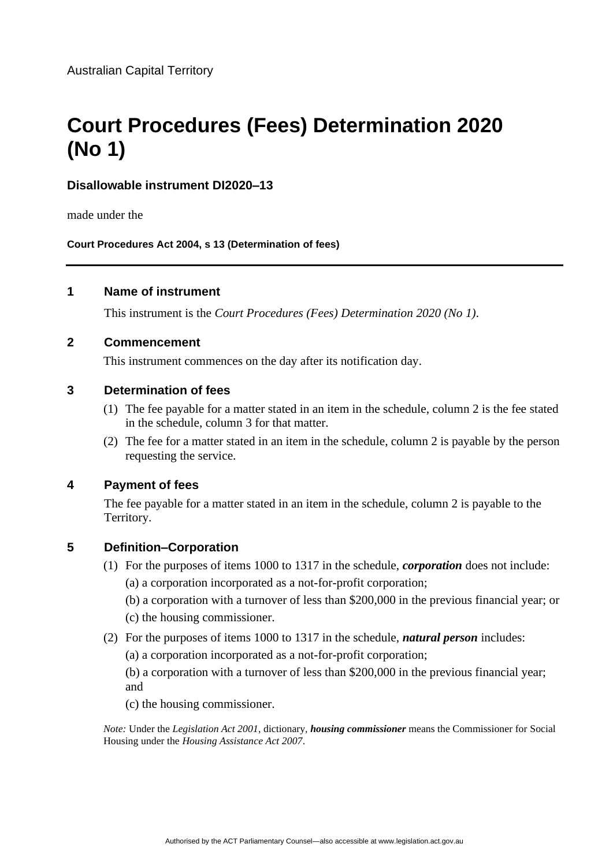# **Court Procedures (Fees) Determination 2020 (No 1)**

# **Disallowable instrument DI2020–13**

made under the

**Court Procedures Act 2004, s 13 (Determination of fees)**

## **1 Name of instrument**

This instrument is the *Court Procedures (Fees) Determination 2020 (No 1)*.

#### **2 Commencement**

This instrument commences on the day after its notification day.

## **3 Determination of fees**

- (1) The fee payable for a matter stated in an item in the schedule, column 2 is the fee stated in the schedule, column 3 for that matter.
- (2) The fee for a matter stated in an item in the schedule, column 2 is payable by the person requesting the service.

#### **4 Payment of fees**

The fee payable for a matter stated in an item in the schedule, column 2 is payable to the Territory.

# **5 Definition–Corporation**

- (1) For the purposes of items 1000 to 1317 in the schedule, *corporation* does not include: (a) a corporation incorporated as a not-for-profit corporation;
	- (b) a corporation with a turnover of less than \$200,000 in the previous financial year; or (c) the housing commissioner.
- (2) For the purposes of items 1000 to 1317 in the schedule, *natural person* includes:
	- (a) a corporation incorporated as a not-for-profit corporation;

(b) a corporation with a turnover of less than \$200,000 in the previous financial year; and

(c) the housing commissioner.

*Note:* Under the *Legislation Act 2001*, dictionary, *housing commissioner* means the Commissioner for Social Housing under the *Housing Assistance Act 2007*.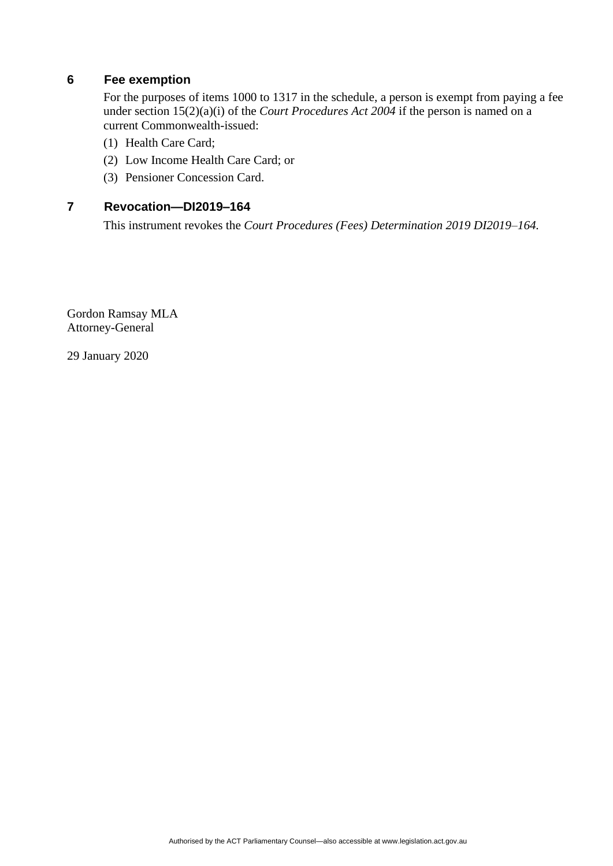# **6 Fee exemption**

For the purposes of items 1000 to 1317 in the schedule, a person is exempt from paying a fee under section 15(2)(a)(i) of the *Court Procedures Act 2004* if the person is named on a current Commonwealth-issued:

- (1) Health Care Card;
- (2) Low Income Health Care Card; or
- (3) Pensioner Concession Card.

# **7 Revocation—DI2019–164**

This instrument revokes the *Court Procedures (Fees) Determination 2019 DI2019–164.*

Gordon Ramsay MLA Attorney-General

29 January 2020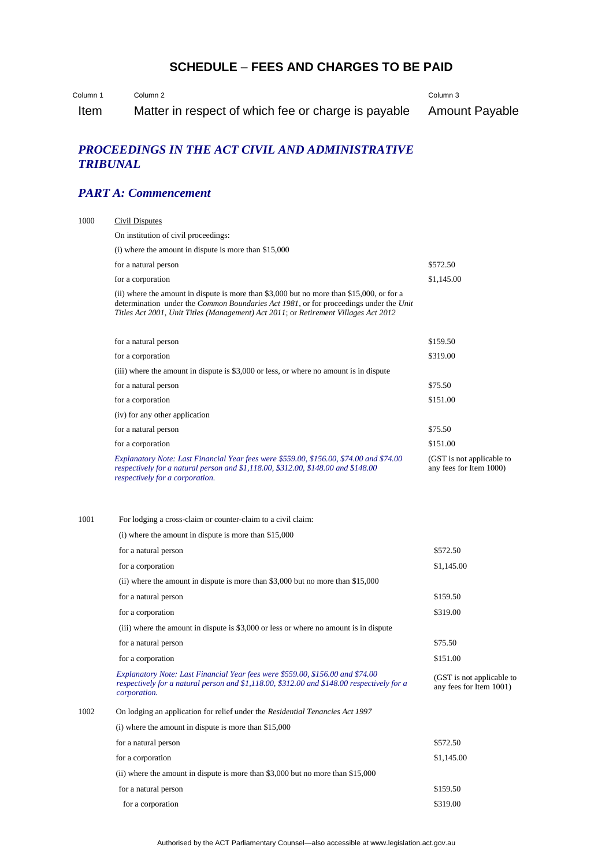# **SCHEDULE** – **FEES AND CHARGES TO BE PAID**

Column 1 Column 2 Column 3

Item Matter in respect of which fee or charge is payable Amount Payable

## *PROCEEDINGS IN THE ACT CIVIL AND ADMINISTRATIVE TRIBUNAL*

# *PART A: Commencement*

| 1000 | <b>Civil Disputes</b>                                                                                                                                                                                                                                                     |                                                      |  |
|------|---------------------------------------------------------------------------------------------------------------------------------------------------------------------------------------------------------------------------------------------------------------------------|------------------------------------------------------|--|
|      | On institution of civil proceedings:                                                                                                                                                                                                                                      |                                                      |  |
|      | $(i)$ where the amount in dispute is more than \$15,000                                                                                                                                                                                                                   |                                                      |  |
|      | for a natural person                                                                                                                                                                                                                                                      | \$572.50                                             |  |
|      | for a corporation                                                                                                                                                                                                                                                         | \$1,145.00                                           |  |
|      | (ii) where the amount in dispute is more than \$3,000 but no more than \$15,000, or for a<br>determination under the Common Boundaries Act 1981, or for proceedings under the Unit<br>Titles Act 2001, Unit Titles (Management) Act 2011; or Retirement Villages Act 2012 |                                                      |  |
|      | for a natural person                                                                                                                                                                                                                                                      | \$159.50                                             |  |
|      | for a corporation                                                                                                                                                                                                                                                         | \$319.00                                             |  |
|      | (iii) where the amount in dispute is \$3,000 or less, or where no amount is in dispute                                                                                                                                                                                    |                                                      |  |
|      | for a natural person                                                                                                                                                                                                                                                      | \$75.50                                              |  |
|      | for a corporation                                                                                                                                                                                                                                                         | \$151.00                                             |  |
|      | (iv) for any other application                                                                                                                                                                                                                                            |                                                      |  |
|      | for a natural person                                                                                                                                                                                                                                                      | \$75.50                                              |  |
|      | for a corporation                                                                                                                                                                                                                                                         | \$151.00                                             |  |
|      | Explanatory Note: Last Financial Year fees were \$559.00, \$156.00, \$74.00 and \$74.00<br>respectively for a natural person and \$1,118.00, \$312.00, \$148.00 and \$148.00<br>respectively for a corporation.                                                           | (GST is not applicable to<br>any fees for Item 1000) |  |
| 1001 | For lodging a cross-claim or counter-claim to a civil claim:<br>$(i)$ where the amount in dispute is more than \$15,000                                                                                                                                                   |                                                      |  |
|      | for a natural person                                                                                                                                                                                                                                                      | \$572.50                                             |  |
|      | for a corporation                                                                                                                                                                                                                                                         | \$1,145.00                                           |  |
|      | (ii) where the amount in dispute is more than $$3,000$ but no more than $$15,000$                                                                                                                                                                                         |                                                      |  |
|      | for a natural person                                                                                                                                                                                                                                                      | \$159.50                                             |  |
|      | for a corporation                                                                                                                                                                                                                                                         | \$319.00                                             |  |
|      | (iii) where the amount in dispute is \$3,000 or less or where no amount is in dispute                                                                                                                                                                                     |                                                      |  |
|      | for a natural person                                                                                                                                                                                                                                                      | \$75.50                                              |  |
|      | for a corporation                                                                                                                                                                                                                                                         | \$151.00                                             |  |
|      | Explanatory Note: Last Financial Year fees were \$559.00, \$156.00 and \$74.00<br>respectively for a natural person and \$1,118.00, \$312.00 and \$148.00 respectively for a<br>corporation.                                                                              | (GST is not applicable to<br>any fees for Item 1001) |  |
| 1002 | On lodging an application for relief under the Residential Tenancies Act 1997                                                                                                                                                                                             |                                                      |  |
|      | $(i)$ where the amount in dispute is more than \$15,000                                                                                                                                                                                                                   |                                                      |  |
|      | for a natural person                                                                                                                                                                                                                                                      | \$572.50                                             |  |
|      | for a corporation                                                                                                                                                                                                                                                         | \$1,145.00                                           |  |
|      | (ii) where the amount in dispute is more than \$3,000 but no more than \$15,000                                                                                                                                                                                           |                                                      |  |
|      | for a natural person                                                                                                                                                                                                                                                      | \$159.50                                             |  |
|      | for a corporation                                                                                                                                                                                                                                                         | \$319.00                                             |  |
|      |                                                                                                                                                                                                                                                                           |                                                      |  |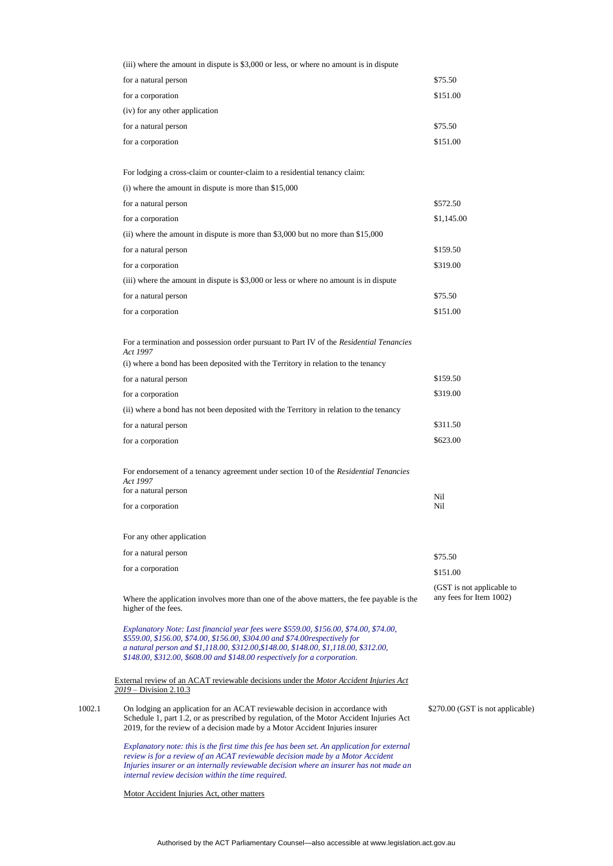|        | (iii) where the amount in dispute is \$3,000 or less, or where no amount is in dispute                                                                                                                                                                                                                                                     |                                                      |
|--------|--------------------------------------------------------------------------------------------------------------------------------------------------------------------------------------------------------------------------------------------------------------------------------------------------------------------------------------------|------------------------------------------------------|
|        | for a natural person                                                                                                                                                                                                                                                                                                                       | \$75.50                                              |
|        | for a corporation                                                                                                                                                                                                                                                                                                                          | \$151.00                                             |
|        | (iv) for any other application                                                                                                                                                                                                                                                                                                             |                                                      |
|        | for a natural person                                                                                                                                                                                                                                                                                                                       | \$75.50                                              |
|        | for a corporation                                                                                                                                                                                                                                                                                                                          | \$151.00                                             |
|        | For lodging a cross-claim or counter-claim to a residential tenancy claim:                                                                                                                                                                                                                                                                 |                                                      |
|        | $(i)$ where the amount in dispute is more than \$15,000                                                                                                                                                                                                                                                                                    |                                                      |
|        | for a natural person                                                                                                                                                                                                                                                                                                                       | \$572.50                                             |
|        | for a corporation                                                                                                                                                                                                                                                                                                                          | \$1,145.00                                           |
|        | (ii) where the amount in dispute is more than \$3,000 but no more than $$15,000$                                                                                                                                                                                                                                                           |                                                      |
|        | for a natural person                                                                                                                                                                                                                                                                                                                       | \$159.50                                             |
|        | for a corporation                                                                                                                                                                                                                                                                                                                          | \$319.00                                             |
|        | (iii) where the amount in dispute is \$3,000 or less or where no amount is in dispute                                                                                                                                                                                                                                                      |                                                      |
|        | for a natural person                                                                                                                                                                                                                                                                                                                       | \$75.50                                              |
|        | for a corporation                                                                                                                                                                                                                                                                                                                          | \$151.00                                             |
|        | For a termination and possession order pursuant to Part IV of the Residential Tenancies<br>Act 1997                                                                                                                                                                                                                                        |                                                      |
|        | (i) where a bond has been deposited with the Territory in relation to the tenancy                                                                                                                                                                                                                                                          |                                                      |
|        | for a natural person                                                                                                                                                                                                                                                                                                                       | \$159.50                                             |
|        | for a corporation                                                                                                                                                                                                                                                                                                                          | \$319.00                                             |
|        | (ii) where a bond has not been deposited with the Territory in relation to the tenancy                                                                                                                                                                                                                                                     |                                                      |
|        | for a natural person                                                                                                                                                                                                                                                                                                                       | \$311.50                                             |
|        | for a corporation                                                                                                                                                                                                                                                                                                                          | \$623.00                                             |
|        | For endorsement of a tenancy agreement under section 10 of the Residential Tenancies<br>Act 1997<br>for a natural person                                                                                                                                                                                                                   | Nil                                                  |
|        | for a corporation                                                                                                                                                                                                                                                                                                                          | Nil                                                  |
|        | For any other application                                                                                                                                                                                                                                                                                                                  |                                                      |
|        | for a natural person                                                                                                                                                                                                                                                                                                                       | \$75.50                                              |
|        | for a corporation                                                                                                                                                                                                                                                                                                                          | \$151.00                                             |
|        | Where the application involves more than one of the above matters, the fee payable is the<br>higher of the fees.                                                                                                                                                                                                                           | (GST is not applicable to<br>any fees for Item 1002) |
|        | Explanatory Note: Last financial year fees were \$559.00, \$156.00, \$74.00, \$74.00,<br>\$559.00, \$156.00, \$74.00, \$156.00, \$304.00 and \$74.00 respectively for<br>a natural person and \$1,118.00, \$312.00, \$148.00, \$148.00, \$1,118.00, \$312.00,<br>\$148.00, \$312.00, \$608.00 and \$148.00 respectively for a corporation. |                                                      |
|        | External review of an ACAT reviewable decisions under the Motor Accident Injuries Act<br>$2019 - Division 2.10.3$                                                                                                                                                                                                                          |                                                      |
| 1002.1 | On lodging an application for an ACAT reviewable decision in accordance with<br>Schedule 1, part 1.2, or as prescribed by regulation, of the Motor Accident Injuries Act<br>2019, for the review of a decision made by a Motor Accident Injuries insurer                                                                                   | \$270.00 (GST is not applic                          |
|        | Explanatory note: this is the first time this fee has been set. An application for external<br>review is for a review of an ACAT reviewable decision made by a Motor Accident<br>Injuries insurer or an internally reviewable decision where an insurer has not made an<br>internal review decision within the time required.              |                                                      |

Motor Accident Injuries Act, other matters

licable)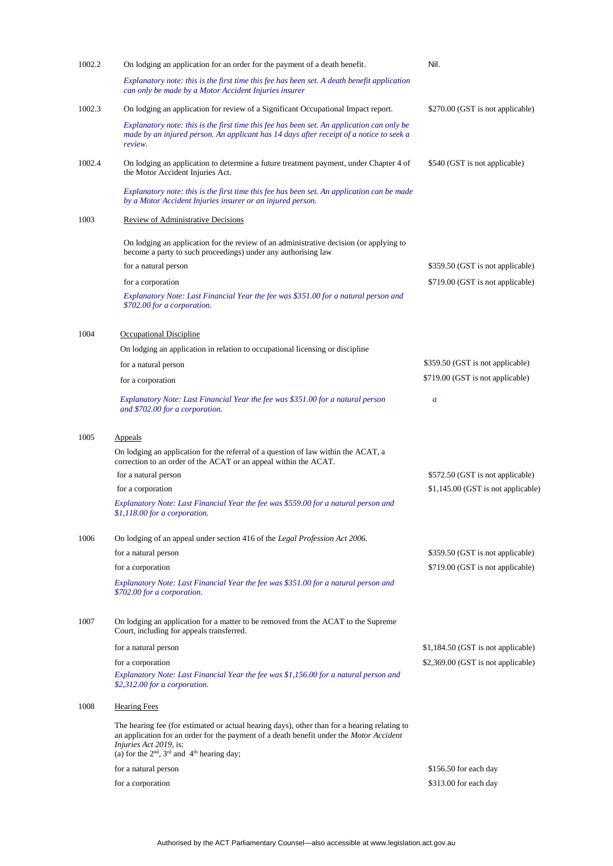| 1002.2 | On lodging an application for an order for the payment of a death benefit.                                                                                                                                                                                            | Nil.                               |
|--------|-----------------------------------------------------------------------------------------------------------------------------------------------------------------------------------------------------------------------------------------------------------------------|------------------------------------|
|        | Explanatory note: this is the first time this fee has been set. A death benefit application<br>can only be made by a Motor Accident Injuries insurer                                                                                                                  |                                    |
| 1002.3 | On lodging an application for review of a Significant Occupational Impact report.                                                                                                                                                                                     | \$270.00 (GST is not applicable)   |
|        | Explanatory note: this is the first time this fee has been set. An application can only be<br>made by an injured person. An applicant has 14 days after receipt of a notice to seek a<br>review.                                                                      |                                    |
| 1002.4 | On lodging an application to determine a future treatment payment, under Chapter 4 of<br>the Motor Accident Injuries Act.                                                                                                                                             | \$540 (GST is not applicable)      |
|        | Explanatory note: this is the first time this fee has been set. An application can be made<br>by a Motor Accident Injuries insurer or an injured person.                                                                                                              |                                    |
| 1003   | Review of Administrative Decisions                                                                                                                                                                                                                                    |                                    |
|        | On lodging an application for the review of an administrative decision (or applying to<br>become a party to such proceedings) under any authorising law                                                                                                               |                                    |
|        | for a natural person                                                                                                                                                                                                                                                  | \$359.50 (GST is not applicable)   |
|        | for a corporation                                                                                                                                                                                                                                                     | \$719.00 (GST is not applicable)   |
|        | Explanatory Note: Last Financial Year the fee was \$351.00 for a natural person and<br>\$702.00 for a corporation.                                                                                                                                                    |                                    |
| 1004   | Occupational Discipline                                                                                                                                                                                                                                               |                                    |
|        | On lodging an application in relation to occupational licensing or discipline                                                                                                                                                                                         |                                    |
|        | for a natural person                                                                                                                                                                                                                                                  | \$359.50 (GST is not applicable)   |
|        | for a corporation                                                                                                                                                                                                                                                     | \$719.00 (GST is not applicable)   |
|        | Explanatory Note: Last Financial Year the fee was \$351.00 for a natural person<br>and \$702.00 for a corporation.                                                                                                                                                    | $\boldsymbol{a}$                   |
| 1005   | <b>Appeals</b>                                                                                                                                                                                                                                                        |                                    |
|        | On lodging an application for the referral of a question of law within the ACAT, a<br>correction to an order of the ACAT or an appeal within the ACAT.                                                                                                                |                                    |
|        | for a natural person                                                                                                                                                                                                                                                  | \$572.50 (GST is not applicable)   |
|        | for a corporation                                                                                                                                                                                                                                                     | \$1,145.00 (GST is not applicable) |
|        | Explanatory Note: Last Financial Year the fee was \$559.00 for a natural person and<br>\$1,118.00 for a corporation.                                                                                                                                                  |                                    |
| 1006   | On lodging of an appeal under section 416 of the Legal Profession Act 2006.                                                                                                                                                                                           |                                    |
|        | for a natural person                                                                                                                                                                                                                                                  | \$359.50 (GST is not applicable)   |
|        | for a corporation                                                                                                                                                                                                                                                     | \$719.00 (GST is not applicable)   |
|        | Explanatory Note: Last Financial Year the fee was \$351.00 for a natural person and<br>\$702.00 for a corporation.                                                                                                                                                    |                                    |
| 1007   | On lodging an application for a matter to be removed from the ACAT to the Supreme<br>Court, including for appeals transferred.                                                                                                                                        |                                    |
|        | for a natural person                                                                                                                                                                                                                                                  | \$1,184.50 (GST is not applicable) |
|        | for a corporation                                                                                                                                                                                                                                                     | \$2,369.00 (GST is not applicable) |
|        | Explanatory Note: Last Financial Year the fee was \$1,156.00 for a natural person and<br>\$2,312.00 for a corporation.                                                                                                                                                |                                    |
| 1008   | <b>Hearing Fees</b>                                                                                                                                                                                                                                                   |                                    |
|        | The hearing fee (for estimated or actual hearing days), other than for a hearing relating to<br>an application for an order for the payment of a death benefit under the Motor Accident<br>Injuries Act 2019, is:<br>(a) for the $2nd$ , $3rd$ and $4th$ hearing day; |                                    |
|        | for a natural person                                                                                                                                                                                                                                                  | \$156.50 for each day              |
|        | for a corporation                                                                                                                                                                                                                                                     | \$313.00 for each day              |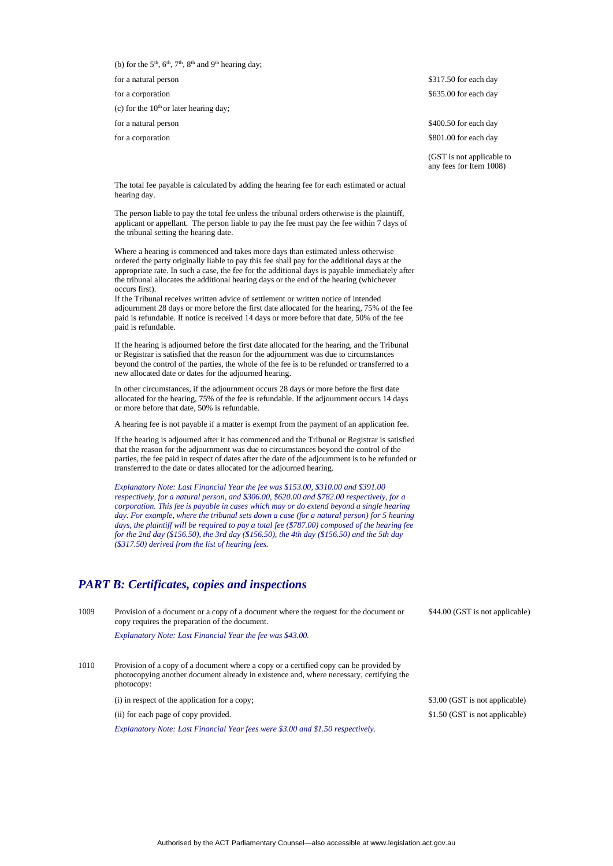(b) for the  $5<sup>th</sup>$ ,  $6<sup>th</sup>$ ,  $7<sup>th</sup>$ ,  $8<sup>th</sup>$  and  $9<sup>th</sup>$  hearing day;

(c) for the  $10<sup>th</sup>$  or later hearing day;

for a natural person  $\$317.50$  for each day for a corporation  $$635.00$  for each day

for a natural person  $$400.50$  for each day for a corporation  $$801.00$  for each day

> (GST is not applicable to any fees for Item 1008)

The total fee payable is calculated by adding the hearing fee for each estimated or actual hearing day.

The person liable to pay the total fee unless the tribunal orders otherwise is the plaintiff, applicant or appellant. The person liable to pay the fee must pay the fee within 7 days of the tribunal setting the hearing date.

Where a hearing is commenced and takes more days than estimated unless otherwise ordered the party originally liable to pay this fee shall pay for the additional days at the appropriate rate. In such a case, the fee for the additional days is payable immediately after the tribunal allocates the additional hearing days or the end of the hearing (whichever occurs first).

If the Tribunal receives written advice of settlement or written notice of intended adjournment 28 days or more before the first date allocated for the hearing, 75% of the fee paid is refundable. If notice is received 14 days or more before that date, 50% of the fee paid is refundable.

If the hearing is adjourned before the first date allocated for the hearing, and the Tribunal or Registrar is satisfied that the reason for the adjournment was due to circumstances beyond the control of the parties, the whole of the fee is to be refunded or transferred to a new allocated date or dates for the adjourned hearing.

In other circumstances, if the adjournment occurs 28 days or more before the first date allocated for the hearing, 75% of the fee is refundable. If the adjournment occurs 14 days or more before that date, 50% is refundable.

A hearing fee is not payable if a matter is exempt from the payment of an application fee.

If the hearing is adjourned after it has commenced and the Tribunal or Registrar is satisfied that the reason for the adjournment was due to circumstances beyond the control of the parties, the fee paid in respect of dates after the date of the adjournment is to be refunded or transferred to the date or dates allocated for the adjourned hearing.

*Explanatory Note: Last Financial Year the fee was \$153.00, \$310.00 and \$391.00 respectively, for a natural person, and \$306.00, \$620.00 and \$782.00 respectively, for a corporation. This fee is payable in cases which may or do extend beyond a single hearing day. For example, where the tribunal sets down a case (for a natural person) for 5 hearing days, the plaintiff will be required to pay a total fee (\$787.00) composed of the hearing fee for the 2nd day (\$156.50), the 3rd day (\$156.50), the 4th day (\$156.50) and the 5th day (\$317.50) derived from the list of hearing fees.*

#### *PART B: Certificates, copies and inspections*

| 1009 | Provision of a document or a copy of a document where the request for the document or<br>copy requires the preparation of the document.                                                        | \$44.00 (GST is not applicable) |
|------|------------------------------------------------------------------------------------------------------------------------------------------------------------------------------------------------|---------------------------------|
|      | Explanatory Note: Last Financial Year the fee was \$43.00.                                                                                                                                     |                                 |
| 1010 | Provision of a copy of a document where a copy or a certified copy can be provided by<br>photocopying another document already in existence and, where necessary, certifying the<br>photocopy: |                                 |
|      | (i) in respect of the application for a copy;                                                                                                                                                  | \$3.00 (GST is not applicable)  |
|      | (ii) for each page of copy provided.                                                                                                                                                           | \$1.50 (GST is not applicable)  |
|      | Explanatory Note: Last Financial Year fees were \$3.00 and \$1.50 respectively.                                                                                                                |                                 |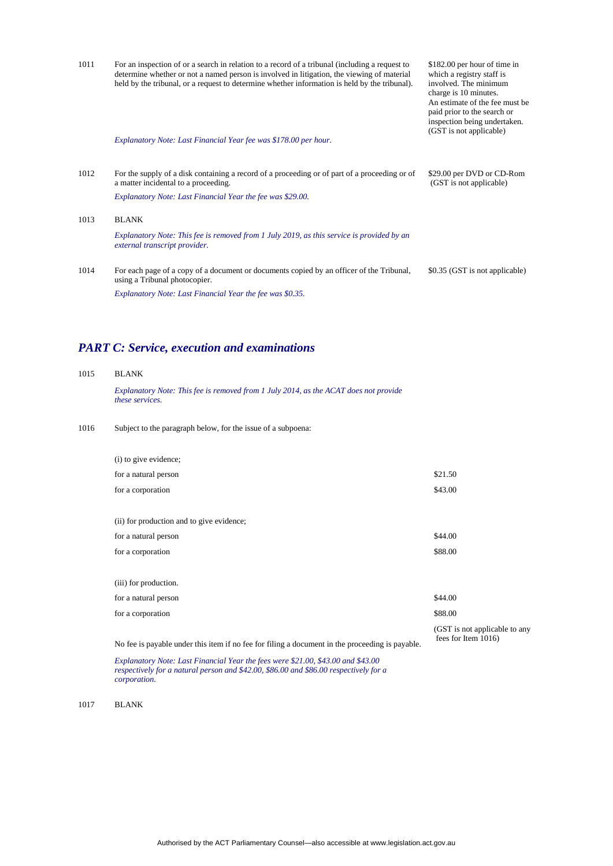| 1011 | For an inspection of or a search in relation to a record of a tribunal (including a request to<br>determine whether or not a named person is involved in litigation, the viewing of material<br>held by the tribunal, or a request to determine whether information is held by the tribunal). | \$182.00 per hour of time in<br>which a registry staff is<br>involved. The minimum<br>charge is 10 minutes.<br>An estimate of the fee must be.<br>paid prior to the search or<br>inspection being undertaken.<br>(GST is not applicable) |
|------|-----------------------------------------------------------------------------------------------------------------------------------------------------------------------------------------------------------------------------------------------------------------------------------------------|------------------------------------------------------------------------------------------------------------------------------------------------------------------------------------------------------------------------------------------|
|      | Explanatory Note: Last Financial Year fee was \$178.00 per hour.                                                                                                                                                                                                                              |                                                                                                                                                                                                                                          |
|      |                                                                                                                                                                                                                                                                                               |                                                                                                                                                                                                                                          |
| 1012 | For the supply of a disk containing a record of a proceeding or of part of a proceeding or of<br>a matter incidental to a proceeding.                                                                                                                                                         | \$29.00 per DVD or CD-Rom<br>(GST is not applicable)                                                                                                                                                                                     |
|      | Explanatory Note: Last Financial Year the fee was \$29.00.                                                                                                                                                                                                                                    |                                                                                                                                                                                                                                          |
| 1013 | <b>BLANK</b>                                                                                                                                                                                                                                                                                  |                                                                                                                                                                                                                                          |
|      | Explanatory Note: This fee is removed from 1 July 2019, as this service is provided by an<br>external transcript provider.                                                                                                                                                                    |                                                                                                                                                                                                                                          |
| 1014 | For each page of a copy of a document or documents copied by an officer of the Tribunal,<br>using a Tribunal photocopier.                                                                                                                                                                     | \$0.35 (GST is not applicable)                                                                                                                                                                                                           |
|      | Explanatory Note: Last Financial Year the fee was \$0.35.                                                                                                                                                                                                                                     |                                                                                                                                                                                                                                          |

# *PART C: Service, execution and examinations*

#### 1015 BLANK

*Explanatory Note: This fee is removed from 1 July 2014, as the ACAT does not provide these services.*

1016 Subject to the paragraph below, for the issue of a subpoena:

| (i) to give evidence;                                   |                                                      |
|---------------------------------------------------------|------------------------------------------------------|
| for a natural person                                    | \$21.50                                              |
| for a corporation                                       | \$43.00                                              |
| (ii) for production and to give evidence;               |                                                      |
| for a natural person                                    | \$44.00                                              |
| for a corporation                                       | \$88.00                                              |
| (iii) for production.                                   |                                                      |
| for a natural person                                    | \$44.00                                              |
| for a corporation                                       | \$88.00                                              |
| المال المتعاقب المتحدث والمتحدث المتحدث والمتحدث<br>. . | (GST is not applicable to any<br>fees for Item 1016) |

No fee is payable under this item if no fee for filing a document in the proceeding is payable.

*Explanatory Note: Last Financial Year the fees were \$21.00, \$43.00 and \$43.00 respectively for a natural person and \$42.00, \$86.00 and \$86.00 respectively for a corporation.* 

1017 BLANK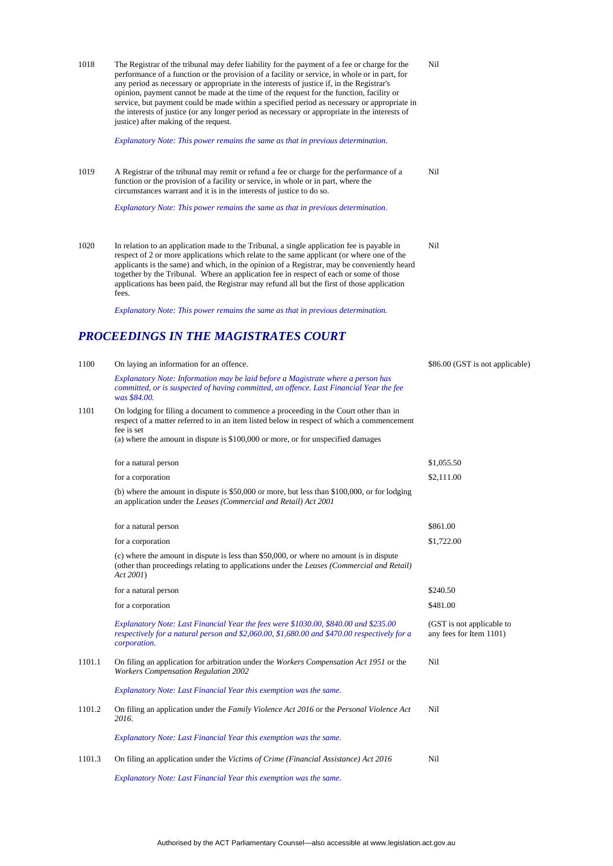| 1018   | The Registrar of the tribunal may defer liability for the payment of a fee or charge for the<br>performance of a function or the provision of a facility or service, in whole or in part, for<br>any period as necessary or appropriate in the interests of justice if, in the Registrar's<br>opinion, payment cannot be made at the time of the request for the function, facility or<br>service, but payment could be made within a specified period as necessary or appropriate in<br>the interests of justice (or any longer period as necessary or appropriate in the interests of<br>justice) after making of the request. | Nil                                                  |
|--------|----------------------------------------------------------------------------------------------------------------------------------------------------------------------------------------------------------------------------------------------------------------------------------------------------------------------------------------------------------------------------------------------------------------------------------------------------------------------------------------------------------------------------------------------------------------------------------------------------------------------------------|------------------------------------------------------|
|        | Explanatory Note: This power remains the same as that in previous determination.                                                                                                                                                                                                                                                                                                                                                                                                                                                                                                                                                 |                                                      |
| 1019   | A Registrar of the tribunal may remit or refund a fee or charge for the performance of a<br>function or the provision of a facility or service, in whole or in part, where the<br>circumstances warrant and it is in the interests of justice to do so.                                                                                                                                                                                                                                                                                                                                                                          | Nil                                                  |
|        | Explanatory Note: This power remains the same as that in previous determination.                                                                                                                                                                                                                                                                                                                                                                                                                                                                                                                                                 |                                                      |
| 1020   | In relation to an application made to the Tribunal, a single application fee is payable in<br>respect of 2 or more applications which relate to the same applicant (or where one of the<br>applicants is the same) and which, in the opinion of a Registrar, may be conveniently heard<br>together by the Tribunal. Where an application fee in respect of each or some of those<br>applications has been paid, the Registrar may refund all but the first of those application<br>fees.                                                                                                                                         | Nil                                                  |
|        | Explanatory Note: This power remains the same as that in previous determination.                                                                                                                                                                                                                                                                                                                                                                                                                                                                                                                                                 |                                                      |
|        | PROCEEDINGS IN THE MAGISTRATES COURT                                                                                                                                                                                                                                                                                                                                                                                                                                                                                                                                                                                             |                                                      |
| 1100   | On laying an information for an offence.                                                                                                                                                                                                                                                                                                                                                                                                                                                                                                                                                                                         | \$86.00 (GST is not applicable)                      |
|        | Explanatory Note: Information may be laid before a Magistrate where a person has<br>committed, or is suspected of having committed, an offence. Last Financial Year the fee<br>was \$84.00.                                                                                                                                                                                                                                                                                                                                                                                                                                      |                                                      |
| 1101   | On lodging for filing a document to commence a proceeding in the Court other than in<br>respect of a matter referred to in an item listed below in respect of which a commencement<br>fee is set<br>(a) where the amount in dispute is \$100,000 or more, or for unspecified damages                                                                                                                                                                                                                                                                                                                                             |                                                      |
|        | for a natural person                                                                                                                                                                                                                                                                                                                                                                                                                                                                                                                                                                                                             | \$1,055.50                                           |
|        | for a corporation                                                                                                                                                                                                                                                                                                                                                                                                                                                                                                                                                                                                                | \$2,111.00                                           |
|        | (b) where the amount in dispute is $$50,000$ or more, but less than $$100,000$ , or for lodging<br>an application under the Leases (Commercial and Retail) Act 2001                                                                                                                                                                                                                                                                                                                                                                                                                                                              |                                                      |
|        | for a natural person                                                                                                                                                                                                                                                                                                                                                                                                                                                                                                                                                                                                             | \$861.00                                             |
|        | for a corporation                                                                                                                                                                                                                                                                                                                                                                                                                                                                                                                                                                                                                | \$1,722.00                                           |
|        | (c) where the amount in dispute is less than \$50,000, or where no amount is in dispute<br>(other than proceedings relating to applications under the Leases (Commercial and Retail)<br><i>Act 2001</i> )                                                                                                                                                                                                                                                                                                                                                                                                                        |                                                      |
|        | for a natural person                                                                                                                                                                                                                                                                                                                                                                                                                                                                                                                                                                                                             | \$240.50                                             |
|        | for a corporation                                                                                                                                                                                                                                                                                                                                                                                                                                                                                                                                                                                                                | \$481.00                                             |
|        | Explanatory Note: Last Financial Year the fees were \$1030.00, \$840.00 and \$235.00<br>respectively for a natural person and \$2,060.00, \$1,680.00 and \$470.00 respectively for a<br>corporation.                                                                                                                                                                                                                                                                                                                                                                                                                             | (GST is not applicable to<br>any fees for Item 1101) |
| 1101.1 | On filing an application for arbitration under the <i>Workers Compensation Act 1951</i> or the<br><b>Workers Compensation Regulation 2002</b>                                                                                                                                                                                                                                                                                                                                                                                                                                                                                    | Nil                                                  |
|        | Explanatory Note: Last Financial Year this exemption was the same.                                                                                                                                                                                                                                                                                                                                                                                                                                                                                                                                                               |                                                      |
| 1101.2 | On filing an application under the <i>Family Violence Act 2016</i> or the <i>Personal Violence Act</i><br>2016.                                                                                                                                                                                                                                                                                                                                                                                                                                                                                                                  | Nil                                                  |
|        | Explanatory Note: Last Financial Year this exemption was the same.                                                                                                                                                                                                                                                                                                                                                                                                                                                                                                                                                               |                                                      |
| 1101.3 | On filing an application under the Victims of Crime (Financial Assistance) Act 2016                                                                                                                                                                                                                                                                                                                                                                                                                                                                                                                                              | Nil                                                  |
|        | Explanatory Note: Last Financial Year this exemption was the same.                                                                                                                                                                                                                                                                                                                                                                                                                                                                                                                                                               |                                                      |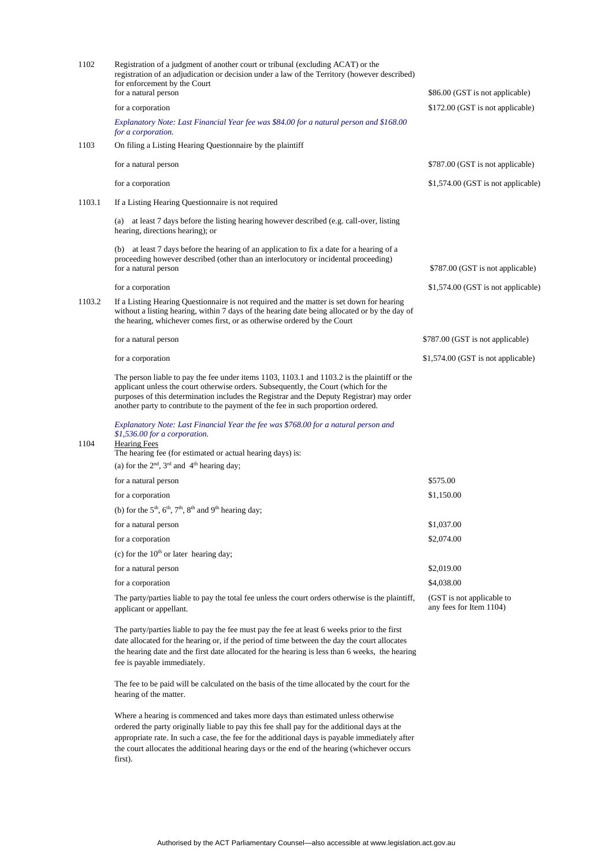| 1102   | Registration of a judgment of another court or tribunal (excluding ACAT) or the<br>registration of an adjudication or decision under a law of the Territory (however described)<br>for enforcement by the Court<br>for a natural person<br>for a corporation<br>Explanatory Note: Last Financial Year fee was \$84.00 for a natural person and \$168.00<br>for a corporation.    | \$86.00 (GST is not applicable)<br>\$172.00 (GST is not applicable) |
|--------|----------------------------------------------------------------------------------------------------------------------------------------------------------------------------------------------------------------------------------------------------------------------------------------------------------------------------------------------------------------------------------|---------------------------------------------------------------------|
| 1103   | On filing a Listing Hearing Questionnaire by the plaintiff                                                                                                                                                                                                                                                                                                                       |                                                                     |
|        | for a natural person                                                                                                                                                                                                                                                                                                                                                             | \$787.00 (GST is not applicable)                                    |
|        | for a corporation                                                                                                                                                                                                                                                                                                                                                                | \$1,574.00 (GST is not applicable)                                  |
| 1103.1 | If a Listing Hearing Questionnaire is not required                                                                                                                                                                                                                                                                                                                               |                                                                     |
|        | (a) at least 7 days before the listing hearing however described (e.g. call-over, listing<br>hearing, directions hearing); or                                                                                                                                                                                                                                                    |                                                                     |
|        | (b) at least 7 days before the hearing of an application to fix a date for a hearing of a<br>proceeding however described (other than an interlocutory or incidental proceeding)<br>for a natural person                                                                                                                                                                         | \$787.00 (GST is not applicable)                                    |
|        | for a corporation                                                                                                                                                                                                                                                                                                                                                                | \$1,574.00 (GST is not applicable)                                  |
| 1103.2 | If a Listing Hearing Questionnaire is not required and the matter is set down for hearing<br>without a listing hearing, within 7 days of the hearing date being allocated or by the day of<br>the hearing, whichever comes first, or as otherwise ordered by the Court                                                                                                           |                                                                     |
|        | for a natural person                                                                                                                                                                                                                                                                                                                                                             | \$787.00 (GST is not applicable)                                    |
|        | for a corporation                                                                                                                                                                                                                                                                                                                                                                | \$1,574.00 (GST is not applicable)                                  |
|        | The person liable to pay the fee under items $1103$ , $1103$ . 1 and $1103$ . 2 is the plaintiff or the<br>applicant unless the court otherwise orders. Subsequently, the Court (which for the<br>purposes of this determination includes the Registrar and the Deputy Registrar) may order<br>another party to contribute to the payment of the fee in such proportion ordered. |                                                                     |
| 1104   | Explanatory Note: Last Financial Year the fee was \$768.00 for a natural person and<br>\$1,536.00 for a corporation.<br><b>Hearing Fees</b><br>The hearing fee (for estimated or actual hearing days) is:<br>(a) for the $2nd$ , $3rd$ and $4th$ hearing day;                                                                                                                    |                                                                     |
|        | for a natural person                                                                                                                                                                                                                                                                                                                                                             | \$575.00                                                            |
|        | for a corporation                                                                                                                                                                                                                                                                                                                                                                | \$1,150.00                                                          |
|        | (b) for the $5th$ , $6th$ , $7th$ , $8th$ and $9th$ hearing day;                                                                                                                                                                                                                                                                                                                 |                                                                     |
|        | for a natural person                                                                                                                                                                                                                                                                                                                                                             | \$1,037.00                                                          |
|        | for a corporation                                                                                                                                                                                                                                                                                                                                                                | \$2,074.00                                                          |
|        | (c) for the $10th$ or later hearing day;                                                                                                                                                                                                                                                                                                                                         |                                                                     |
|        | for a natural person                                                                                                                                                                                                                                                                                                                                                             | \$2,019.00                                                          |
|        | for a corporation                                                                                                                                                                                                                                                                                                                                                                | \$4,038.00                                                          |
|        | The party/parties liable to pay the total fee unless the court orders otherwise is the plaintiff,<br>applicant or appellant.                                                                                                                                                                                                                                                     | (GST is not applicable to<br>any fees for Item 1104)                |
|        | The party/parties liable to pay the fee must pay the fee at least 6 weeks prior to the first<br>date allocated for the hearing or, if the period of time between the day the court allocates                                                                                                                                                                                     |                                                                     |

the hearing date and the first date allocated for the hearing is less than 6 weeks, the hearing fee is payable immediately.

The fee to be paid will be calculated on the basis of the time allocated by the court for the hearing of the matter.

Where a hearing is commenced and takes more days than estimated unless otherwise ordered the party originally liable to pay this fee shall pay for the additional days at the appropriate rate. In such a case, the fee for the additional days is payable immediately after the court allocates the additional hearing days or the end of the hearing (whichever occurs first).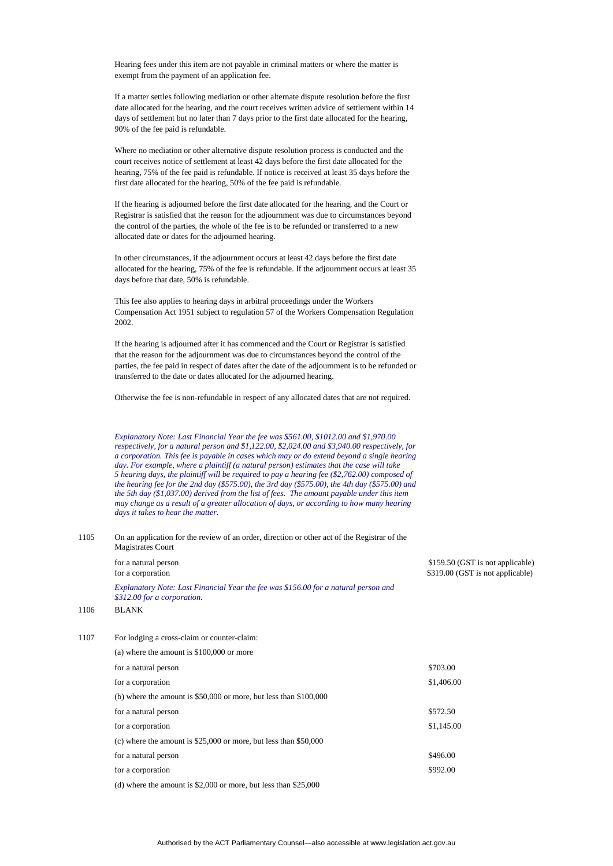Hearing fees under this item are not payable in criminal matters or where the matter is exempt from the payment of an application fee.

If a matter settles following mediation or other alternate dispute resolution before the first date allocated for the hearing, and the court receives written advice of settlement within 14 days of settlement but no later than 7 days prior to the first date allocated for the hearing, 90% of the fee paid is refundable.

Where no mediation or other alternative dispute resolution process is conducted and the court receives notice of settlement at least 42 days before the first date allocated for the hearing, 75% of the fee paid is refundable. If notice is received at least 35 days before the first date allocated for the hearing, 50% of the fee paid is refundable.

If the hearing is adjourned before the first date allocated for the hearing, and the Court or Registrar is satisfied that the reason for the adjournment was due to circumstances beyond the control of the parties, the whole of the fee is to be refunded or transferred to a new allocated date or dates for the adjourned hearing.

In other circumstances, if the adjournment occurs at least 42 days before the first date allocated for the hearing, 75% of the fee is refundable. If the adjournment occurs at least 35 days before that date, 50% is refundable.

This fee also applies to hearing days in arbitral proceedings under the Workers Compensation Act 1951 subject to regulation 57 of the Workers Compensation Regulation 2002.

If the hearing is adjourned after it has commenced and the Court or Registrar is satisfied that the reason for the adjournment was due to circumstances beyond the control of the parties, the fee paid in respect of dates after the date of the adjournment is to be refunded or transferred to the date or dates allocated for the adjourned hearing.

Otherwise the fee is non-refundable in respect of any allocated dates that are not required.

*Explanatory Note: Last Financial Year the fee was \$561.00, \$1012.00 and \$1,970.00 respectively, for a natural person and \$1,122.00, \$2,024.00 and \$3,940.00 respectively, for a corporation. This fee is payable in cases which may or do extend beyond a single hearing day. For example, where a plaintiff (a natural person) estimates that the case will take 5 hearing days, the plaintiff will be required to pay a hearing fee (\$2,762.00) composed of the hearing fee for the 2nd day (\$575.00), the 3rd day (\$575.00), the 4th day (\$575.00) and the 5th day (\$1,037.00) derived from the list of fees. The amount payable under this item may change as a result of a greater allocation of days, or according to how many hearing days it takes to hear the matter.*

| 1105 | On an application for the review of an order, direction or other act of the Registrar of the<br><b>Magistrates Court</b> |                                                                      |
|------|--------------------------------------------------------------------------------------------------------------------------|----------------------------------------------------------------------|
|      | for a natural person<br>for a corporation                                                                                | \$159.50 (GST is not applicable)<br>\$319.00 (GST is not applicable) |
|      | Explanatory Note: Last Financial Year the fee was \$156.00 for a natural person and<br>\$312.00 for a corporation.       |                                                                      |
| 1106 | <b>BLANK</b>                                                                                                             |                                                                      |
| 1107 | For lodging a cross-claim or counter-claim:                                                                              |                                                                      |

| (a) where the amount is $$100,000$ or more                          |            |
|---------------------------------------------------------------------|------------|
| for a natural person                                                | \$703.00   |
| for a corporation                                                   | \$1,406.00 |
| (b) where the amount is $$50,000$ or more, but less than $$100,000$ |            |
| for a natural person                                                | \$572.50   |
| for a corporation                                                   | \$1,145.00 |
| (c) where the amount is $$25,000$ or more, but less than $$50,000$  |            |
| for a natural person                                                | \$496.00   |
| for a corporation                                                   | \$992.00   |
|                                                                     |            |

(d) where the amount is \$2,000 or more, but less than \$25,000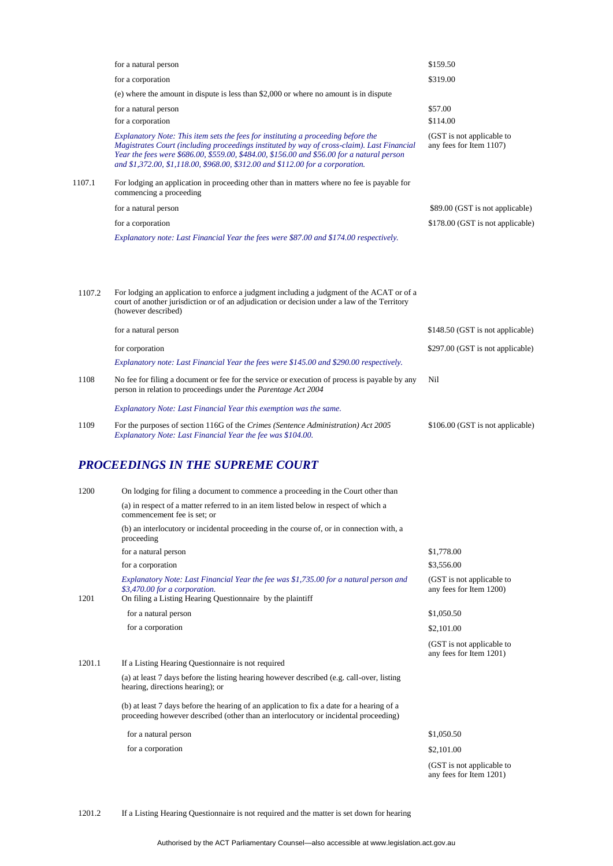|        | for a natural person                                                                                                                                                                                                                                                                                                                                            | \$159.50                                             |
|--------|-----------------------------------------------------------------------------------------------------------------------------------------------------------------------------------------------------------------------------------------------------------------------------------------------------------------------------------------------------------------|------------------------------------------------------|
|        | for a corporation                                                                                                                                                                                                                                                                                                                                               | \$319.00                                             |
|        | (e) where the amount in dispute is less than \$2,000 or where no amount is in dispute                                                                                                                                                                                                                                                                           |                                                      |
|        | for a natural person                                                                                                                                                                                                                                                                                                                                            | \$57.00                                              |
|        | for a corporation                                                                                                                                                                                                                                                                                                                                               | \$114.00                                             |
|        | Explanatory Note: This item sets the fees for instituting a proceeding before the<br>Magistrates Court (including proceedings instituted by way of cross-claim). Last Financial<br>Year the fees were \$686.00, \$559.00, \$484.00, \$156.00 and \$56.00 for a natural person<br>and \$1,372.00, \$1,118.00, \$968.00, \$312.00 and \$112.00 for a corporation. | (GST is not applicable to<br>any fees for Item 1107) |
| 1107.1 | For lodging an application in proceeding other than in matters where no fee is payable for<br>commencing a proceeding                                                                                                                                                                                                                                           |                                                      |
|        | for a natural person                                                                                                                                                                                                                                                                                                                                            | \$89.00 (GST is not applicable)                      |
|        | for a corporation                                                                                                                                                                                                                                                                                                                                               | \$178.00 (GST is not applicable)                     |
|        | Explanatory note: Last Financial Year the fees were \$87.00 and \$174.00 respectively.                                                                                                                                                                                                                                                                          |                                                      |
| 1107.2 | For lodging an application to enforce a judgment including a judgment of the ACAT or of a<br>court of another jurisdiction or of an adjudication or decision under a law of the Territory<br>(however described)                                                                                                                                                |                                                      |
|        | for a natural person                                                                                                                                                                                                                                                                                                                                            | \$148.50 (GST is not applicable)                     |
|        | for corporation                                                                                                                                                                                                                                                                                                                                                 | \$297.00 (GST is not applicable)                     |
|        | Explanatory note: Last Financial Year the fees were \$145.00 and \$290.00 respectively.                                                                                                                                                                                                                                                                         |                                                      |

1108 No fee for filing a document or fee for the service or execution of process is payable by any person in relation to proceedings under the *Parentage Act 2004* Nil

*Explanatory Note: Last Financial Year this exemption was the same.* 

1109 For the purposes of section 116G of the *Crimes (Sentence Administration) Act 2005* \$106.00 (GST is not applicable) *Explanatory Note: Last Financial Year the fee was \$104.00.* 

## *PROCEEDINGS IN THE SUPREME COURT*

| 1200   | On lodging for filing a document to commence a proceeding in the Court other than                                                                                                    |                                                      |
|--------|--------------------------------------------------------------------------------------------------------------------------------------------------------------------------------------|------------------------------------------------------|
|        | (a) in respect of a matter referred to in an item listed below in respect of which a<br>commencement fee is set; or                                                                  |                                                      |
|        | (b) an interlocutory or incidental proceeding in the course of, or in connection with, a<br>proceeding                                                                               |                                                      |
|        | for a natural person                                                                                                                                                                 | \$1,778.00                                           |
|        | for a corporation                                                                                                                                                                    | \$3,556.00                                           |
| 1201   | Explanatory Note: Last Financial Year the fee was \$1,735.00 for a natural person and<br>\$3,470.00 for a corporation.<br>On filing a Listing Hearing Questionnaire by the plaintiff | (GST is not applicable to<br>any fees for Item 1200) |
|        | for a natural person                                                                                                                                                                 | \$1,050.50                                           |
|        | for a corporation                                                                                                                                                                    | \$2,101.00                                           |
|        |                                                                                                                                                                                      | (GST is not applicable to<br>any fees for Item 1201) |
| 1201.1 | If a Listing Hearing Questionnaire is not required                                                                                                                                   |                                                      |
|        | (a) at least 7 days before the listing hearing however described (e.g. call-over, listing<br>hearing, directions hearing); or                                                        |                                                      |
|        | (b) at least 7 days before the hearing of an application to fix a date for a hearing of a<br>proceeding however described (other than an interlocutory or incidental proceeding)     |                                                      |
|        | for a natural person                                                                                                                                                                 | \$1,050.50                                           |
|        | for a corporation                                                                                                                                                                    | \$2,101.00                                           |
|        |                                                                                                                                                                                      | (GST is not applicable to<br>any fees for Item 1201) |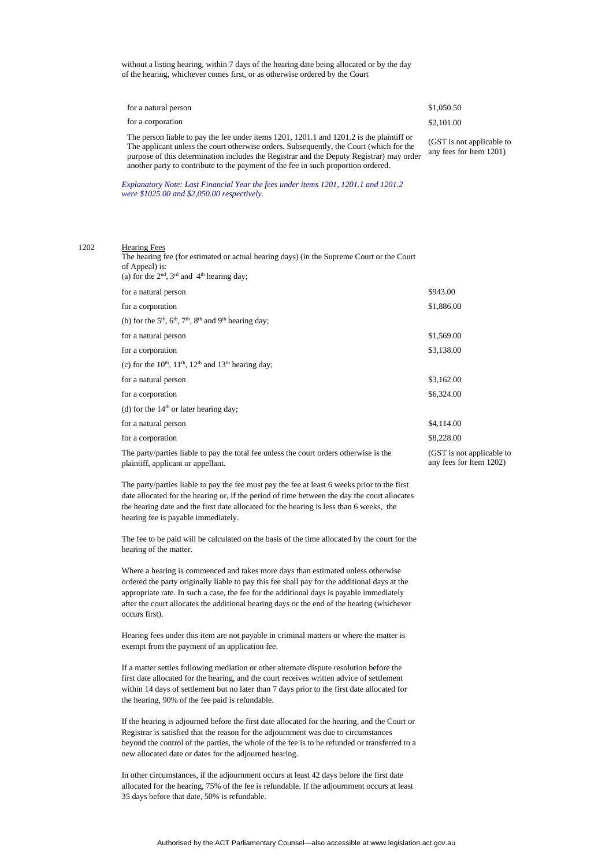without a listing hearing, within 7 days of the hearing date being allocated or by the day of the hearing, whichever comes first, or as otherwise ordered by the Court

| for a natural person                                                                                                                                                                                                                                                                  | \$1,050.50                                           |
|---------------------------------------------------------------------------------------------------------------------------------------------------------------------------------------------------------------------------------------------------------------------------------------|------------------------------------------------------|
| for a corporation                                                                                                                                                                                                                                                                     | \$2,101.00                                           |
| The person liable to pay the fee under items $1201$ , $1201.1$ and $1201.2$ is the plaintiff or<br>The applicant unless the court otherwise orders. Subsequently, the Court (which for the<br>numero of this determination includes the Degistrar and the Deputy Degistrar) may exder | (GST is not applicable to<br>any fees for Item 1201) |

The applicant unless the court otherwise orders. Subsequently, the Court (which for the purpose of this determination includes the Registrar and the Deputy Registrar) may order another party to contribute to the payment of the fee in such proportion ordered.

*Explanatory Note: Last Financial Year the fees under items 1201, 1201.1 and 1201.2 were \$1025.00 and \$2,050.00 respectively.*

#### 1202 Hearing Fees The hearing fee (for estimated or actual hearing days) (in the Supreme Court or the Court

| of Appeal) is:<br>(a) for the $2nd$ , $3rd$ and $4th$ hearing day;                                                           |                                                      |
|------------------------------------------------------------------------------------------------------------------------------|------------------------------------------------------|
| for a natural person                                                                                                         | \$943.00                                             |
| for a corporation                                                                                                            | \$1,886.00                                           |
| (b) for the $5th$ , $6th$ , $7th$ , $8th$ and $9th$ hearing day;                                                             |                                                      |
| for a natural person                                                                                                         | \$1,569.00                                           |
| for a corporation                                                                                                            | \$3,138.00                                           |
| (c) for the $10^{th}$ , $11^{th}$ , $12^{th}$ and $13^{th}$ hearing day;                                                     |                                                      |
| for a natural person                                                                                                         | \$3,162.00                                           |
| for a corporation                                                                                                            | \$6,324.00                                           |
| (d) for the $14th$ or later hearing day;                                                                                     |                                                      |
| for a natural person                                                                                                         | \$4,114.00                                           |
| for a corporation                                                                                                            | \$8,228.00                                           |
| The party/parties liable to pay the total fee unless the court orders otherwise is the<br>plaintiff, applicant or appellant. | (GST is not applicable to<br>any fees for Item 1202) |

The party/parties liable to pay the fee must pay the fee at least 6 weeks prior to the first date allocated for the hearing or, if the period of time between the day the court allocates the hearing date and the first date allocated for the hearing is less than 6 weeks, the hearing fee is payable immediately.

The fee to be paid will be calculated on the basis of the time allocated by the court for the hearing of the matter.

Where a hearing is commenced and takes more days than estimated unless otherwise ordered the party originally liable to pay this fee shall pay for the additional days at the appropriate rate. In such a case, the fee for the additional days is payable immediately after the court allocates the additional hearing days or the end of the hearing (whichever occurs first).

Hearing fees under this item are not payable in criminal matters or where the matter is exempt from the payment of an application fee.

If a matter settles following mediation or other alternate dispute resolution before the first date allocated for the hearing, and the court receives written advice of settlement within 14 days of settlement but no later than 7 days prior to the first date allocated for the hearing, 90% of the fee paid is refundable.

If the hearing is adjourned before the first date allocated for the hearing, and the Court or Registrar is satisfied that the reason for the adjournment was due to circumstances beyond the control of the parties, the whole of the fee is to be refunded or transferred to a new allocated date or dates for the adjourned hearing.

In other circumstances, if the adjournment occurs at least 42 days before the first date allocated for the hearing, 75% of the fee is refundable. If the adjournment occurs at least 35 days before that date, 50% is refundable.

Authorised by the ACT Parliamentary Counsel—also accessible at www.legislation.act.gov.au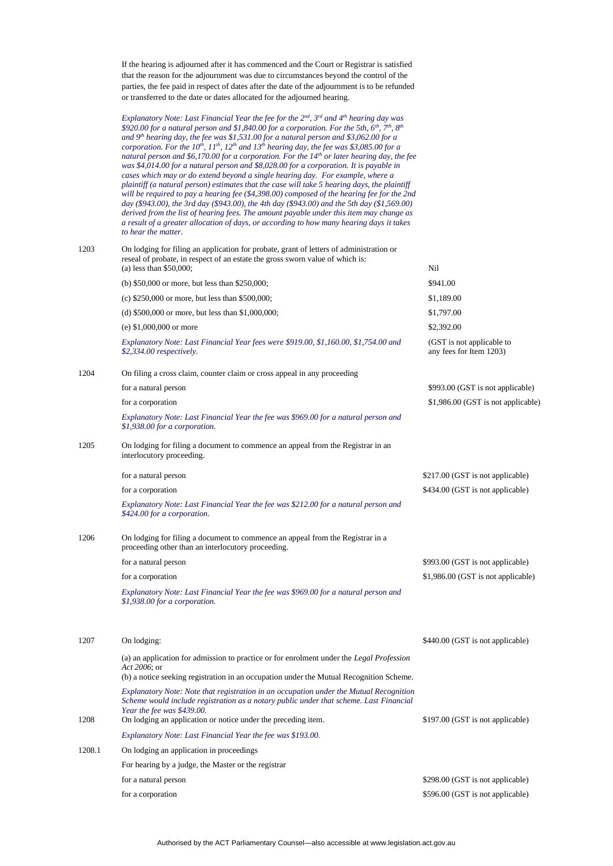If the hearing is adjourned after it has commenced and the Court or Registrar is satisfied that the reason for the adjournment was due to circumstances beyond the control of the parties, the fee paid in respect of dates after the date of the adjournment is to be refunded or transferred to the date or dates allocated for the adjourned hearing.

*Explanatory Note: Last Financial Year the fee for the 2nd, 3rd and 4th hearing day was \$920.00 for a natural person and \$1,840.00 for a corporation. For the 5th, 6th, 7th, 8th and 9th hearing day, the fee was \$1,531.00 for a natural person and \$3,062.00 for a corporation. For the 10th, 11th, 12th and 13th hearing day, the fee was \$3,085.00 for a natural person and \$6,170.00 for a corporation. For the 14th or later hearing day, the fee was \$4,014.00 for a natural person and \$8,028.00 for a corporation. It is payable in cases which may or do extend beyond a single hearing day. For example, where a plaintiff (a natural person) estimates that the case will take 5 hearing days, the plaintiff will be required to pay a hearing fee (\$4,398.00) composed of the hearing fee for the 2nd day (\$943.00), the 3rd day (\$943.00), the 4th day (\$943.00) and the 5th day (\$1,569.00) derived from the list of hearing fees. The amount payable under this item may change as a result of a greater allocation of days, or according to how many hearing days it takes to hear the matter.*

| 1203   | On lodging for filing an application for probate, grant of letters of administration or<br>reseal of probate, in respect of an estate the gross sworn value of which is:<br>(a) less than $$50,000$ ;          | Nil                                                  |
|--------|----------------------------------------------------------------------------------------------------------------------------------------------------------------------------------------------------------------|------------------------------------------------------|
|        | (b) $$50,000$ or more, but less than $$250,000$ ;                                                                                                                                                              | \$941.00                                             |
|        | (c) $$250,000$ or more, but less than $$500,000$ ;                                                                                                                                                             | \$1,189.00                                           |
|        | (d) $$500,000$ or more, but less than $$1,000,000$ ;                                                                                                                                                           | \$1,797.00                                           |
|        | (e) $$1,000,000$ or more                                                                                                                                                                                       | \$2,392.00                                           |
|        | Explanatory Note: Last Financial Year fees were \$919.00, \$1,160.00, \$1,754.00 and<br>$$2,334.00$ respectively.                                                                                              | (GST is not applicable to<br>any fees for Item 1203) |
| 1204   | On filing a cross claim, counter claim or cross appeal in any proceeding                                                                                                                                       |                                                      |
|        | for a natural person                                                                                                                                                                                           | \$993.00 (GST is not applicable)                     |
|        | for a corporation                                                                                                                                                                                              | \$1,986.00 (GST is not applicable)                   |
|        | Explanatory Note: Last Financial Year the fee was \$969.00 for a natural person and<br>\$1,938.00 for a corporation.                                                                                           |                                                      |
| 1205   | On lodging for filing a document to commence an appeal from the Registrar in an<br>interlocutory proceeding.                                                                                                   |                                                      |
|        | for a natural person                                                                                                                                                                                           | \$217.00 (GST is not applicable)                     |
|        | for a corporation                                                                                                                                                                                              | \$434.00 (GST is not applicable)                     |
|        | Explanatory Note: Last Financial Year the fee was \$212.00 for a natural person and<br>\$424.00 for a corporation.                                                                                             |                                                      |
| 1206   | On lodging for filing a document to commence an appeal from the Registrar in a<br>proceeding other than an interlocutory proceeding.                                                                           |                                                      |
|        | for a natural person                                                                                                                                                                                           | \$993.00 (GST is not applicable)                     |
|        | for a corporation                                                                                                                                                                                              | \$1,986.00 (GST is not applicable)                   |
|        | Explanatory Note: Last Financial Year the fee was \$969.00 for a natural person and<br>\$1,938.00 for a corporation.                                                                                           |                                                      |
| 1207   | On lodging:                                                                                                                                                                                                    | \$440.00 (GST is not applicable)                     |
|        | (a) an application for admission to practice or for enrolment under the <i>Legal Profession</i><br>Act 2006; or<br>(b) a notice seeking registration in an occupation under the Mutual Recognition Scheme.     |                                                      |
|        | Explanatory Note: Note that registration in an occupation under the Mutual Recognition<br>Scheme would include registration as a notary public under that scheme. Last Financial<br>Year the fee was \$439.00. |                                                      |
| 1208   | On lodging an application or notice under the preceding item.                                                                                                                                                  | \$197.00 (GST is not applicable)                     |
|        | Explanatory Note: Last Financial Year the fee was \$193.00.                                                                                                                                                    |                                                      |
| 1208.1 | On lodging an application in proceedings                                                                                                                                                                       |                                                      |
|        | For hearing by a judge, the Master or the registrar                                                                                                                                                            |                                                      |
|        | for a natural person                                                                                                                                                                                           | \$298.00 (GST is not applicable)                     |
|        | for a corporation                                                                                                                                                                                              | \$596.00 (GST is not applicable)                     |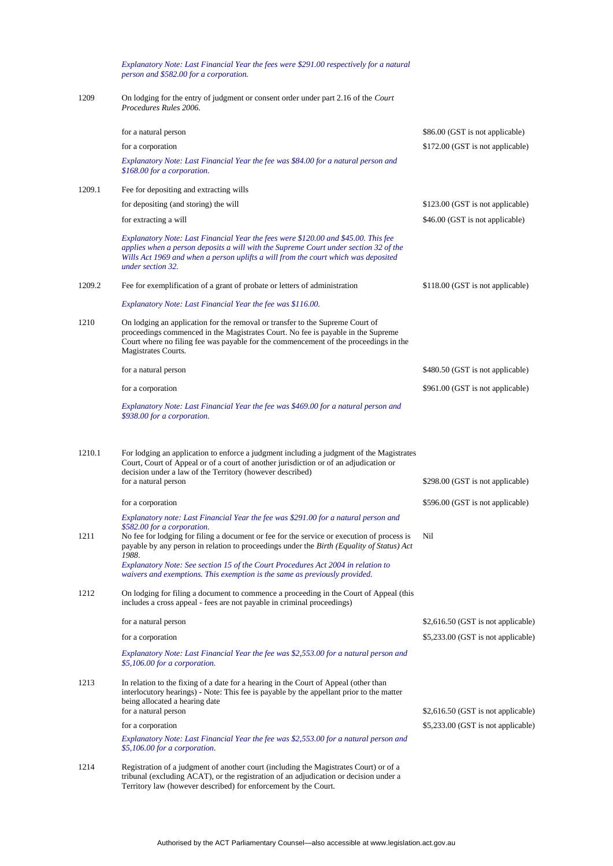*Explanatory Note: Last Financial Year the fees were \$291.00 respectively for a natural person and \$582.00 for a corporation.*

1209 On lodging for the entry of judgment or consent order under part 2.16 of the *Court Procedures Rules 2006.*

|        | for a natural person                                                                                                                                                                                                                                                                                                       | \$86.00 (GST is not applicable)    |
|--------|----------------------------------------------------------------------------------------------------------------------------------------------------------------------------------------------------------------------------------------------------------------------------------------------------------------------------|------------------------------------|
|        | for a corporation                                                                                                                                                                                                                                                                                                          | \$172.00 (GST is not applicable)   |
|        | Explanatory Note: Last Financial Year the fee was \$84.00 for a natural person and<br>\$168.00 for a corporation.                                                                                                                                                                                                          |                                    |
| 1209.1 | Fee for depositing and extracting wills                                                                                                                                                                                                                                                                                    |                                    |
|        | for depositing (and storing) the will                                                                                                                                                                                                                                                                                      | \$123.00 (GST is not applicable)   |
|        | for extracting a will                                                                                                                                                                                                                                                                                                      | \$46.00 (GST is not applicable)    |
|        | Explanatory Note: Last Financial Year the fees were \$120.00 and \$45.00. This fee<br>applies when a person deposits a will with the Supreme Court under section 32 of the<br>Wills Act 1969 and when a person uplifts a will from the court which was deposited<br>under section 32.                                      |                                    |
| 1209.2 | Fee for exemplification of a grant of probate or letters of administration                                                                                                                                                                                                                                                 | \$118.00 (GST is not applicable)   |
|        | Explanatory Note: Last Financial Year the fee was \$116.00.                                                                                                                                                                                                                                                                |                                    |
| 1210   | On lodging an application for the removal or transfer to the Supreme Court of<br>proceedings commenced in the Magistrates Court. No fee is payable in the Supreme<br>Court where no filing fee was payable for the commencement of the proceedings in the<br>Magistrates Courts.                                           |                                    |
|        | for a natural person                                                                                                                                                                                                                                                                                                       | \$480.50 (GST is not applicable)   |
|        | for a corporation                                                                                                                                                                                                                                                                                                          | \$961.00 (GST is not applicable)   |
|        | Explanatory Note: Last Financial Year the fee was \$469.00 for a natural person and<br>\$938.00 for a corporation.                                                                                                                                                                                                         |                                    |
| 1210.1 | For lodging an application to enforce a judgment including a judgment of the Magistrates<br>Court, Court of Appeal or of a court of another jurisdiction or of an adjudication or<br>decision under a law of the Territory (however described)<br>for a natural person                                                     | \$298.00 (GST is not applicable)   |
|        | for a corporation                                                                                                                                                                                                                                                                                                          | \$596.00 (GST is not applicable)   |
|        | Explanatory note: Last Financial Year the fee was \$291.00 for a natural person and                                                                                                                                                                                                                                        |                                    |
| 1211   | \$582.00 for a corporation.<br>No fee for lodging for filing a document or fee for the service or execution of process is<br>payable by any person in relation to proceedings under the <i>Birth (Equality of Status) Act</i><br>1988.<br>Explanatory Note: See section 15 of the Court Procedures Act 2004 in relation to | Nil                                |
|        | waivers and exemptions. This exemption is the same as previously provided.                                                                                                                                                                                                                                                 |                                    |
| 1212   | On lodging for filing a document to commence a proceeding in the Court of Appeal (this<br>includes a cross appeal - fees are not payable in criminal proceedings)                                                                                                                                                          |                                    |
|        | for a natural person                                                                                                                                                                                                                                                                                                       | \$2,616.50 (GST is not applicable) |
|        | for a corporation                                                                                                                                                                                                                                                                                                          | \$5,233.00 (GST is not applicable) |
|        | Explanatory Note: Last Financial Year the fee was \$2,553.00 for a natural person and<br>\$5,106.00 for a corporation.                                                                                                                                                                                                     |                                    |
| 1213   | In relation to the fixing of a date for a hearing in the Court of Appeal (other than<br>interlocutory hearings) - Note: This fee is payable by the appellant prior to the matter<br>being allocated a hearing date<br>for a natural person                                                                                 | \$2,616.50 (GST is not applicable) |
|        | for a corporation                                                                                                                                                                                                                                                                                                          | \$5,233.00 (GST is not applicable) |
|        | Explanatory Note: Last Financial Year the fee was \$2,553.00 for a natural person and<br>\$5,106.00 for a corporation.                                                                                                                                                                                                     |                                    |
| 1214   | Registration of a judgment of another court (including the Magistrates Court) or of a<br>tribunal (excluding ACAT), or the registration of an adjudication or decision under a<br>Territory law (however described) for enforcement by the Court.                                                                          |                                    |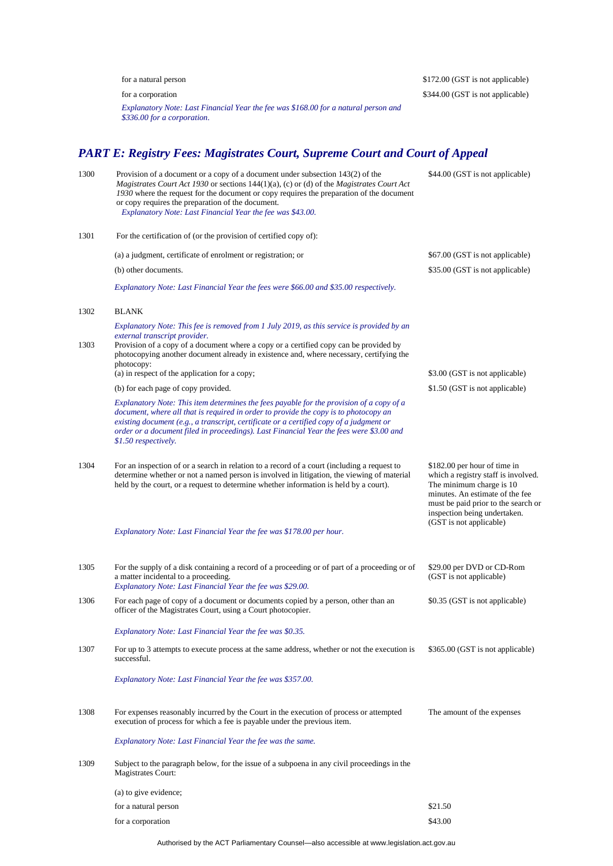|      | for a natural person                                                                                                                                                                                                                                                                                                                                                                                                                  | \$172.00 (GST is not applicable)                                                                                                                                                                                                     |
|------|---------------------------------------------------------------------------------------------------------------------------------------------------------------------------------------------------------------------------------------------------------------------------------------------------------------------------------------------------------------------------------------------------------------------------------------|--------------------------------------------------------------------------------------------------------------------------------------------------------------------------------------------------------------------------------------|
|      | for a corporation<br>Explanatory Note: Last Financial Year the fee was \$168.00 for a natural person and<br>\$336.00 for a corporation.                                                                                                                                                                                                                                                                                               | \$344.00 (GST is not applicable)                                                                                                                                                                                                     |
|      | <b>PART E: Registry Fees: Magistrates Court, Supreme Court and Court of Appeal</b>                                                                                                                                                                                                                                                                                                                                                    |                                                                                                                                                                                                                                      |
| 1300 | Provision of a document or a copy of a document under subsection 143(2) of the<br>Magistrates Court Act 1930 or sections 144(1)(a), (c) or (d) of the Magistrates Court Act<br>1930 where the request for the document or copy requires the preparation of the document<br>or copy requires the preparation of the document.<br>Explanatory Note: Last Financial Year the fee was \$43.00.                                            | \$44.00 (GST is not applicable)                                                                                                                                                                                                      |
| 1301 | For the certification of (or the provision of certified copy of):                                                                                                                                                                                                                                                                                                                                                                     |                                                                                                                                                                                                                                      |
|      | (a) a judgment, certificate of enrolment or registration; or                                                                                                                                                                                                                                                                                                                                                                          | \$67.00 (GST is not applicable)                                                                                                                                                                                                      |
|      | (b) other documents.                                                                                                                                                                                                                                                                                                                                                                                                                  | \$35.00 (GST is not applicable)                                                                                                                                                                                                      |
|      | Explanatory Note: Last Financial Year the fees were \$66.00 and \$35.00 respectively.                                                                                                                                                                                                                                                                                                                                                 |                                                                                                                                                                                                                                      |
| 1302 | <b>BLANK</b>                                                                                                                                                                                                                                                                                                                                                                                                                          |                                                                                                                                                                                                                                      |
| 1303 | Explanatory Note: This fee is removed from 1 July 2019, as this service is provided by an<br>external transcript provider.<br>Provision of a copy of a document where a copy or a certified copy can be provided by<br>photocopying another document already in existence and, where necessary, certifying the<br>photocopy:                                                                                                          |                                                                                                                                                                                                                                      |
|      | (a) in respect of the application for a copy;                                                                                                                                                                                                                                                                                                                                                                                         | \$3.00 (GST is not applicable)                                                                                                                                                                                                       |
|      | (b) for each page of copy provided.<br>Explanatory Note: This item determines the fees payable for the provision of a copy of a<br>document, where all that is required in order to provide the copy is to photocopy an<br>existing document (e.g., a transcript, certificate or a certified copy of a judgment or<br>order or a document filed in proceedings). Last Financial Year the fees were \$3.00 and<br>\$1.50 respectively. | \$1.50 (GST is not applicable)                                                                                                                                                                                                       |
| 1304 | For an inspection of or a search in relation to a record of a court (including a request to<br>determine whether or not a named person is involved in litigation, the viewing of material<br>held by the court, or a request to determine whether information is held by a court).                                                                                                                                                    | \$182.00 per hour of time in<br>which a registry staff is involved.<br>The minimum charge is 10<br>minutes. An estimate of the fee<br>must be paid prior to the search or<br>inspection being undertaken.<br>(GST is not applicable) |
|      | Explanatory Note: Last Financial Year the fee was \$178.00 per hour.                                                                                                                                                                                                                                                                                                                                                                  |                                                                                                                                                                                                                                      |
| 1305 | For the supply of a disk containing a record of a proceeding or of part of a proceeding or of<br>a matter incidental to a proceeding.<br>Explanatory Note: Last Financial Year the fee was \$29.00.                                                                                                                                                                                                                                   | \$29.00 per DVD or CD-Rom<br>(GST is not applicable)                                                                                                                                                                                 |
| 1306 | For each page of copy of a document or documents copied by a person, other than an<br>officer of the Magistrates Court, using a Court photocopier.                                                                                                                                                                                                                                                                                    | \$0.35 (GST is not applicable)                                                                                                                                                                                                       |
|      | Explanatory Note: Last Financial Year the fee was \$0.35.                                                                                                                                                                                                                                                                                                                                                                             |                                                                                                                                                                                                                                      |
| 1307 | For up to 3 attempts to execute process at the same address, whether or not the execution is<br>successful.                                                                                                                                                                                                                                                                                                                           | \$365.00 (GST is not applicable)                                                                                                                                                                                                     |
|      | Explanatory Note: Last Financial Year the fee was \$357.00.                                                                                                                                                                                                                                                                                                                                                                           |                                                                                                                                                                                                                                      |
| 1308 | For expenses reasonably incurred by the Court in the execution of process or attempted<br>execution of process for which a fee is payable under the previous item.                                                                                                                                                                                                                                                                    | The amount of the expenses                                                                                                                                                                                                           |
|      | Explanatory Note: Last Financial Year the fee was the same.                                                                                                                                                                                                                                                                                                                                                                           |                                                                                                                                                                                                                                      |
| 1309 | Subject to the paragraph below, for the issue of a subpoena in any civil proceedings in the<br>Magistrates Court:                                                                                                                                                                                                                                                                                                                     |                                                                                                                                                                                                                                      |
|      | (a) to give evidence;                                                                                                                                                                                                                                                                                                                                                                                                                 |                                                                                                                                                                                                                                      |
|      | for a natural person                                                                                                                                                                                                                                                                                                                                                                                                                  | \$21.50                                                                                                                                                                                                                              |
|      | for a corporation                                                                                                                                                                                                                                                                                                                                                                                                                     | \$43.00                                                                                                                                                                                                                              |

Authorised by the ACT Parliamentary Counsel—also accessible at www.legislation.act.gov.au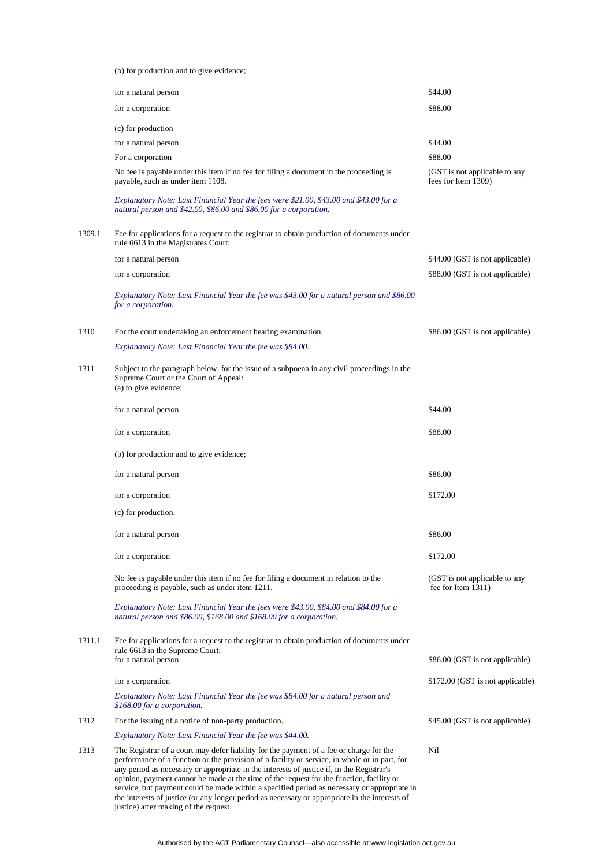(b) for production and to give evidence;

|        | for a natural person                                                                                                                                                                                                                                                                                                                                                                                                                                                                                                                                                               | \$44.00                                              |
|--------|------------------------------------------------------------------------------------------------------------------------------------------------------------------------------------------------------------------------------------------------------------------------------------------------------------------------------------------------------------------------------------------------------------------------------------------------------------------------------------------------------------------------------------------------------------------------------------|------------------------------------------------------|
|        | for a corporation                                                                                                                                                                                                                                                                                                                                                                                                                                                                                                                                                                  | \$88.00                                              |
|        | (c) for production                                                                                                                                                                                                                                                                                                                                                                                                                                                                                                                                                                 |                                                      |
|        | for a natural person                                                                                                                                                                                                                                                                                                                                                                                                                                                                                                                                                               | \$44.00                                              |
|        | For a corporation                                                                                                                                                                                                                                                                                                                                                                                                                                                                                                                                                                  | \$88.00                                              |
|        | No fee is payable under this item if no fee for filing a document in the proceeding is<br>payable, such as under item 1108.                                                                                                                                                                                                                                                                                                                                                                                                                                                        | (GST is not applicable to any<br>fees for Item 1309) |
|        | Explanatory Note: Last Financial Year the fees were \$21.00, \$43.00 and \$43.00 for a<br>natural person and \$42.00, \$86.00 and \$86.00 for a corporation.                                                                                                                                                                                                                                                                                                                                                                                                                       |                                                      |
| 1309.1 | Fee for applications for a request to the registrar to obtain production of documents under<br>rule 6613 in the Magistrates Court:                                                                                                                                                                                                                                                                                                                                                                                                                                                 |                                                      |
|        | for a natural person                                                                                                                                                                                                                                                                                                                                                                                                                                                                                                                                                               | \$44.00 (GST is not applicable)                      |
|        | for a corporation                                                                                                                                                                                                                                                                                                                                                                                                                                                                                                                                                                  | \$88.00 (GST is not applicable)                      |
|        | Explanatory Note: Last Financial Year the fee was \$43.00 for a natural person and \$86.00<br>for a corporation.                                                                                                                                                                                                                                                                                                                                                                                                                                                                   |                                                      |
| 1310   | For the court undertaking an enforcement hearing examination.                                                                                                                                                                                                                                                                                                                                                                                                                                                                                                                      | \$86.00 (GST is not applicable)                      |
|        | Explanatory Note: Last Financial Year the fee was \$84.00.                                                                                                                                                                                                                                                                                                                                                                                                                                                                                                                         |                                                      |
| 1311   | Subject to the paragraph below, for the issue of a subpoena in any civil proceedings in the<br>Supreme Court or the Court of Appeal:<br>(a) to give evidence;                                                                                                                                                                                                                                                                                                                                                                                                                      |                                                      |
|        | for a natural person                                                                                                                                                                                                                                                                                                                                                                                                                                                                                                                                                               | \$44.00                                              |
|        | for a corporation                                                                                                                                                                                                                                                                                                                                                                                                                                                                                                                                                                  | \$88.00                                              |
|        | (b) for production and to give evidence;                                                                                                                                                                                                                                                                                                                                                                                                                                                                                                                                           |                                                      |
|        | for a natural person                                                                                                                                                                                                                                                                                                                                                                                                                                                                                                                                                               | \$86.00                                              |
|        | for a corporation                                                                                                                                                                                                                                                                                                                                                                                                                                                                                                                                                                  | \$172.00                                             |
|        | (c) for production.                                                                                                                                                                                                                                                                                                                                                                                                                                                                                                                                                                |                                                      |
|        | for a natural person                                                                                                                                                                                                                                                                                                                                                                                                                                                                                                                                                               | \$86.00                                              |
|        | for a corporation                                                                                                                                                                                                                                                                                                                                                                                                                                                                                                                                                                  | \$172.00                                             |
|        | No fee is payable under this item if no fee for filing a document in relation to the<br>proceeding is payable, such as under item 1211.                                                                                                                                                                                                                                                                                                                                                                                                                                            | (GST is not applicable to any<br>fee for Item 1311)  |
|        | Explanatory Note: Last Financial Year the fees were \$43.00, \$84.00 and \$84.00 for a<br>natural person and \$86.00, \$168.00 and \$168.00 for a corporation.                                                                                                                                                                                                                                                                                                                                                                                                                     |                                                      |
| 1311.1 | Fee for applications for a request to the registrar to obtain production of documents under<br>rule 6613 in the Supreme Court:                                                                                                                                                                                                                                                                                                                                                                                                                                                     |                                                      |
|        | for a natural person                                                                                                                                                                                                                                                                                                                                                                                                                                                                                                                                                               | \$86.00 (GST is not applicable)                      |
|        | for a corporation                                                                                                                                                                                                                                                                                                                                                                                                                                                                                                                                                                  | \$172.00 (GST is not applicable)                     |
|        | Explanatory Note: Last Financial Year the fee was \$84.00 for a natural person and<br>\$168.00 for a corporation.                                                                                                                                                                                                                                                                                                                                                                                                                                                                  |                                                      |
| 1312   | For the issuing of a notice of non-party production.                                                                                                                                                                                                                                                                                                                                                                                                                                                                                                                               | \$45.00 (GST is not applicable)                      |
|        | Explanatory Note: Last Financial Year the fee was \$44.00.                                                                                                                                                                                                                                                                                                                                                                                                                                                                                                                         |                                                      |
| 1313   | The Registrar of a court may defer liability for the payment of a fee or charge for the<br>performance of a function or the provision of a facility or service, in whole or in part, for<br>any period as necessary or appropriate in the interests of justice if, in the Registrar's<br>opinion, payment cannot be made at the time of the request for the function, facility or<br>service, but payment could be made within a specified period as necessary or appropriate in<br>the interests of justice (or any longer period as necessary or appropriate in the interests of | Nil                                                  |

justice) after making of the request.